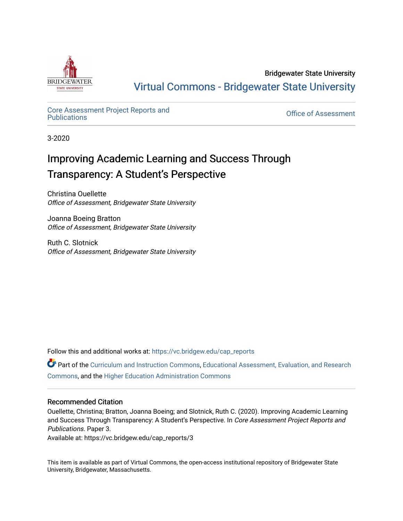

Bridgewater State University [Virtual Commons - Bridgewater State University](https://vc.bridgew.edu/) 

## Core Assessment Project Reports and<br>Publications

**Office of Assessment** 

3-2020

## Improving Academic Learning and Success Through Transparency: A Student's Perspective

Christina Ouellette Office of Assessment, Bridgewater State University

Joanna Boeing Bratton Office of Assessment, Bridgewater State University

Ruth C. Slotnick Office of Assessment, Bridgewater State University

Follow this and additional works at: [https://vc.bridgew.edu/cap\\_reports](https://vc.bridgew.edu/cap_reports?utm_source=vc.bridgew.edu%2Fcap_reports%2F3&utm_medium=PDF&utm_campaign=PDFCoverPages) 

Part of the [Curriculum and Instruction Commons,](http://network.bepress.com/hgg/discipline/786?utm_source=vc.bridgew.edu%2Fcap_reports%2F3&utm_medium=PDF&utm_campaign=PDFCoverPages) Educational Assessment, Evaluation, and Research [Commons](http://network.bepress.com/hgg/discipline/796?utm_source=vc.bridgew.edu%2Fcap_reports%2F3&utm_medium=PDF&utm_campaign=PDFCoverPages), and the [Higher Education Administration Commons](http://network.bepress.com/hgg/discipline/791?utm_source=vc.bridgew.edu%2Fcap_reports%2F3&utm_medium=PDF&utm_campaign=PDFCoverPages) 

## Recommended Citation

Ouellette, Christina; Bratton, Joanna Boeing; and Slotnick, Ruth C. (2020). Improving Academic Learning and Success Through Transparency: A Student's Perspective. In Core Assessment Project Reports and Publications. Paper 3.

Available at: https://vc.bridgew.edu/cap\_reports/3

This item is available as part of Virtual Commons, the open-access institutional repository of Bridgewater State University, Bridgewater, Massachusetts.